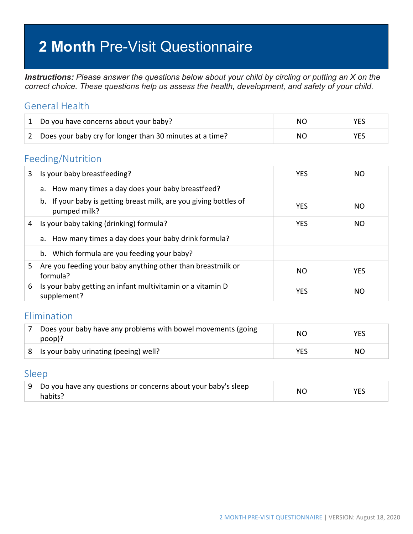# **2 Month** Pre-Visit Questionnaire

*Instructions: Please answer the questions below about your child by circling or putting an X on the correct choice. These questions help us assess the health, development, and safety of your child.*

### General Health

| 1 Do you have concerns about your baby?                    | NO. |      |
|------------------------------------------------------------|-----|------|
| 2 Does your baby cry for longer than 30 minutes at a time? | NO. | YES. |

#### Feeding/Nutrition

| 3 | Is your baby breastfeeding?                                                       | <b>YES</b> | NO.        |
|---|-----------------------------------------------------------------------------------|------------|------------|
|   | a. How many times a day does your baby breastfeed?                                |            |            |
|   | b. If your baby is getting breast milk, are you giving bottles of<br>pumped milk? | <b>YES</b> | NO.        |
| 4 | Is your baby taking (drinking) formula?                                           | <b>YES</b> | <b>NO</b>  |
|   | a. How many times a day does your baby drink formula?                             |            |            |
|   | b. Which formula are you feeding your baby?                                       |            |            |
| 5 | Are you feeding your baby anything other than breastmilk or<br>formula?           | NO.        | <b>YES</b> |
| 6 | Is your baby getting an infant multivitamin or a vitamin D<br>supplement?         | <b>YES</b> | NO.        |

### Elimination

| Does your baby have any problems with bowel movements (going<br>poop)? | NO  | <b>YES</b> |
|------------------------------------------------------------------------|-----|------------|
| 8 Is your baby urinating (peeing) well?                                | YES | NO.        |

#### Sleep

| ↓9 Do you have any questions or concerns about your baby's sleep | NC. |  |
|------------------------------------------------------------------|-----|--|
| habits?                                                          |     |  |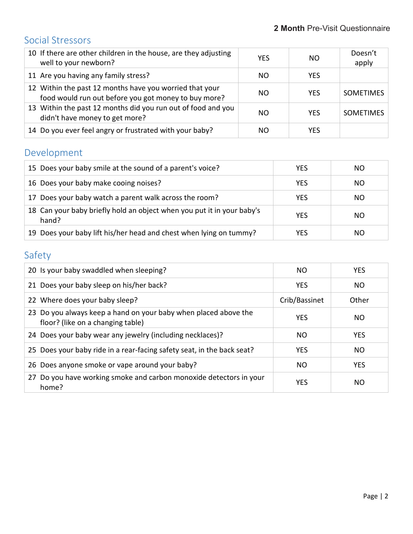## Social Stressors

| 10 If there are other children in the house, are they adjusting<br>well to your newborn?                        | <b>YES</b> | NO.        | Doesn't<br>apply |
|-----------------------------------------------------------------------------------------------------------------|------------|------------|------------------|
| 11 Are you having any family stress?                                                                            | NO.        | <b>YES</b> |                  |
| 12 Within the past 12 months have you worried that your<br>food would run out before you got money to buy more? | NO.        | <b>YES</b> | <b>SOMETIMES</b> |
| 13 Within the past 12 months did you run out of food and you<br>didn't have money to get more?                  | NO.        | <b>YES</b> | <b>SOMETIMES</b> |
| 14 Do you ever feel angry or frustrated with your baby?                                                         | NO.        | YFS        |                  |

# Development

| 15 Does your baby smile at the sound of a parent's voice?                       | <b>YES</b> | NO. |
|---------------------------------------------------------------------------------|------------|-----|
| 16 Does your baby make cooing noises?                                           | <b>YES</b> | NO. |
| 17 Does your baby watch a parent walk across the room?                          | <b>YES</b> | NO. |
| 18 Can your baby briefly hold an object when you put it in your baby's<br>hand? | <b>YES</b> | NO. |
| 19 Does your baby lift his/her head and chest when lying on tummy?              | <b>YES</b> | NO. |

# Safety

| 20 Is your baby swaddled when sleeping?                                                              | NO.           | <b>YES</b>     |
|------------------------------------------------------------------------------------------------------|---------------|----------------|
| 21 Does your baby sleep on his/her back?                                                             | <b>YES</b>    | N <sub>O</sub> |
| 22 Where does your baby sleep?                                                                       | Crib/Bassinet | Other          |
| 23 Do you always keep a hand on your baby when placed above the<br>floor? (like on a changing table) | <b>YES</b>    | NO.            |
| 24 Does your baby wear any jewelry (including necklaces)?                                            | NO.           | <b>YES</b>     |
| 25 Does your baby ride in a rear-facing safety seat, in the back seat?                               | <b>YES</b>    | NO.            |
| 26 Does anyone smoke or vape around your baby?                                                       | NO.           | <b>YES</b>     |
| 27 Do you have working smoke and carbon monoxide detectors in your<br>home?                          | <b>YES</b>    | NO.            |